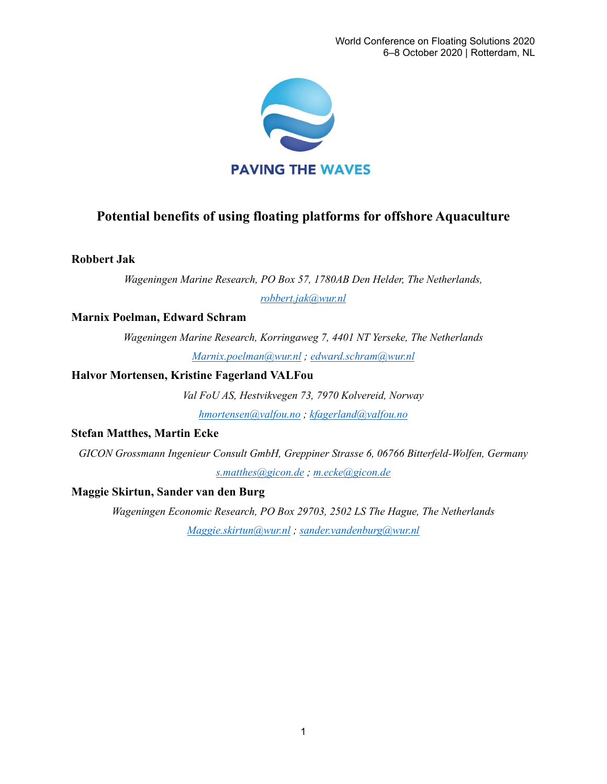

# **Potential benefits of using floating platforms for offshore Aquaculture**

# **Robbert Jak**

*Wageningen Marine Research, PO Box 57, 1780AB Den Helder, The Netherlands, [robbert.jak@wur.nl](mailto:robbert.jak@wur.nl)*

# **Marnix Poelman, Edward Schram**

*Wageningen Marine Research, Korringaweg 7, 4401 NT Yerseke, The Netherlands [Marnix.poelman@wur.nl](mailto:Marnix.poelman@wur.nl) ; [edward.schram@wur.nl](mailto:edward.schram@wur.nl)*

# **Halvor Mortensen, Kristine Fagerland VALFou**

*Val FoU AS, Hestvikvegen 73, 7970 Kolvereid, Norway [hmortensen@valfou.no](mailto:hmortensen@valfou.no) ; [kfagerland@valfou.no](mailto:kfagerland@valfou.no)*

### **Stefan Matthes, Martin Ecke**

*GICON Grossmann Ingenieur Consult GmbH, Greppiner Strasse 6, 06766 Bitterfeld-Wolfen, Germany [s.matthes@gicon.de](mailto:s.matthes@gicon.de) ; [m.ecke@gicon.de](mailto:m.ecke@gicon.de)*

### **Maggie Skirtun, Sander van den Burg**

*Wageningen Economic Research, PO Box 29703, 2502 LS The Hague, The Netherlands [Maggie.skirtun@wur.nl](mailto:Maggie.skirtun@wur.nl) ; [sander.vandenburg@wur.nl](mailto:sander.vandenburg@wur.nl)*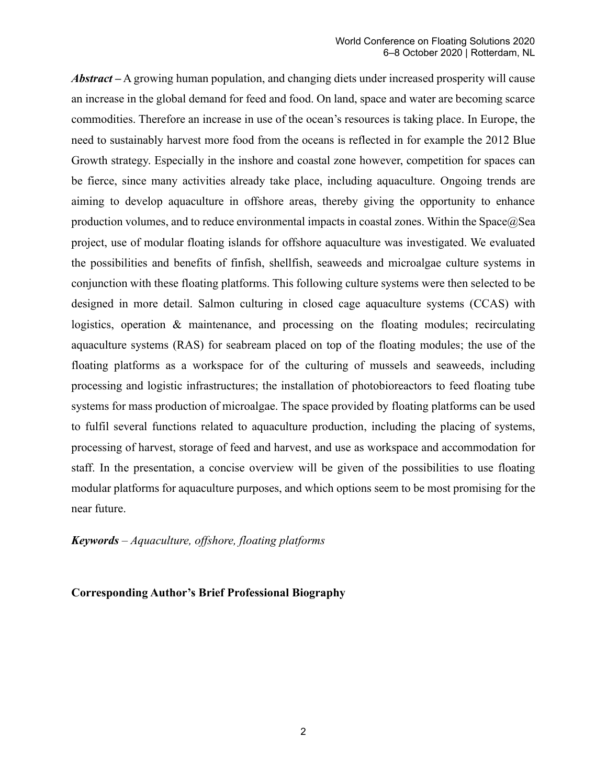*Abstract –* A growing human population, and changing diets under increased prosperity will cause an increase in the global demand for feed and food. On land, space and water are becoming scarce commodities. Therefore an increase in use of the ocean's resources is taking place. In Europe, the need to sustainably harvest more food from the oceans is reflected in for example the 2012 Blue Growth strategy. Especially in the inshore and coastal zone however, competition for spaces can be fierce, since many activities already take place, including aquaculture. Ongoing trends are aiming to develop aquaculture in offshore areas, thereby giving the opportunity to enhance production volumes, and to reduce environmental impacts in coastal zones. Within the Space $@$ Sea project, use of modular floating islands for offshore aquaculture was investigated. We evaluated the possibilities and benefits of finfish, shellfish, seaweeds and microalgae culture systems in conjunction with these floating platforms. This following culture systems were then selected to be designed in more detail. Salmon culturing in closed cage aquaculture systems (CCAS) with logistics, operation & maintenance, and processing on the floating modules; recirculating aquaculture systems (RAS) for seabream placed on top of the floating modules; the use of the floating platforms as a workspace for of the culturing of mussels and seaweeds, including processing and logistic infrastructures; the installation of photobioreactors to feed floating tube systems for mass production of microalgae. The space provided by floating platforms can be used to fulfil several functions related to aquaculture production, including the placing of systems, processing of harvest, storage of feed and harvest, and use as workspace and accommodation for staff. In the presentation, a concise overview will be given of the possibilities to use floating modular platforms for aquaculture purposes, and which options seem to be most promising for the near future.

*Keywords – Aquaculture, offshore, floating platforms*

**Corresponding Author's Brief Professional Biography**